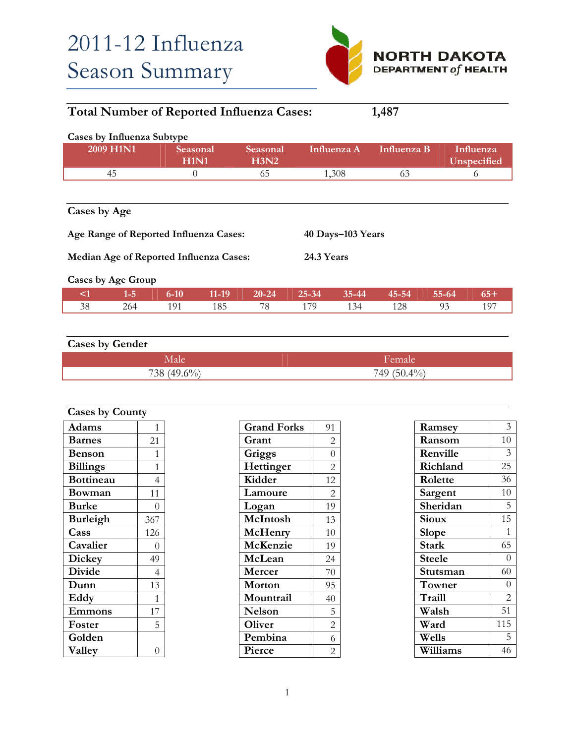

| <b>Total Number of Reported Influenza Cases:</b><br>1,487                   |           |                         |         |                  |           |             |             |           |                          |  |
|-----------------------------------------------------------------------------|-----------|-------------------------|---------|------------------|-----------|-------------|-------------|-----------|--------------------------|--|
| Cases by Influenza Subtype                                                  |           |                         |         |                  |           |             |             |           |                          |  |
|                                                                             | 2009 H1N1 | Seasonal<br><b>H1N1</b> |         | Seasonal<br>H3N2 |           | Influenza A | Influenza B |           | Influenza<br>Unspecified |  |
|                                                                             | 45        | $\theta$                |         | 65               |           | 1,308       | 63          |           | 6                        |  |
| Cases by Age<br>Age Range of Reported Influenza Cases:<br>40 Days-103 Years |           |                         |         |                  |           |             |             |           |                          |  |
| 24.3 Years<br>Median Age of Reported Influenza Cases:<br>Cases by Age Group |           |                         |         |                  |           |             |             |           |                          |  |
|                                                                             |           |                         |         |                  |           |             |             |           |                          |  |
| $\leq$ 1                                                                    | $1-5$     | $6 - 10$                | $11-19$ | $20 - 24$        | $25 - 34$ | $35 - 44$   | 45-54       | $55 - 64$ | $65+$                    |  |
| 38                                                                          | 264       | 191                     | 185     | 78               | 179       | 134         | 128         | 93        | 197                      |  |

## **Cases by Gender**

| (0)<br>720<br>יז ר<br>′ ∩ | $\Omega$ $40$ / $\Omega$<br>74045<br>∸ |
|---------------------------|----------------------------------------|

| <b>Cases by County</b> |                |  |
|------------------------|----------------|--|
| Adams                  | 1              |  |
| <b>Barnes</b>          | 21             |  |
| <b>Benson</b>          | 1              |  |
| <b>Billings</b>        | 1              |  |
| <b>Bottineau</b>       | 4              |  |
| Bowman                 | 11             |  |
| <b>Burke</b>           | 0              |  |
| <b>Burleigh</b>        | 367            |  |
| Cass                   | 126            |  |
| Cavalier               | 0              |  |
| <b>Dickey</b>          | 49             |  |
| <b>Divide</b>          | $\overline{4}$ |  |
| Dunn                   | 13             |  |
| Eddy                   | 1              |  |
| Emmons                 | 17             |  |
| Foster                 | 5              |  |
| Golden                 |                |  |
| Valley                 |                |  |

| <b>Grand Forks</b> | 91             |
|--------------------|----------------|
| Grant              | 2              |
| Griggs             | $\overline{0}$ |
| Hettinger          | $\overline{2}$ |
| Kidder             | 12             |
| Lamoure            | 2              |
| Logan              | 19             |
| McIntosh           | 13             |
| McHenry            | 10             |
| McKenzie           | 19             |
| McLean             | 24             |
| Mercer             | 70             |
| Morton             | 95             |
| Mountrail          | 40             |
| <b>Nelson</b>      | 5              |
| Oliver             | $\overline{c}$ |
| Pembina            | 6              |
| Pierce             | $\overline{2}$ |
|                    |                |

| Ramsey        | 3              |
|---------------|----------------|
| Ransom        | 10             |
| Renville      | 3              |
| Richland      | 25             |
| Rolette       | 36             |
| Sargent       | 10             |
| Sheridan      | 5              |
| Sioux         | 15             |
| Slope         | 1              |
| Stark         | 65             |
| <b>Steele</b> | $\theta$       |
| Stutsman      | 60             |
| Towner        | $\overline{0}$ |
| Traill        | $\overline{2}$ |
| Walsh         | 51             |
| Ward          | 115            |
| Wells         | 5              |
| Williams      | 46             |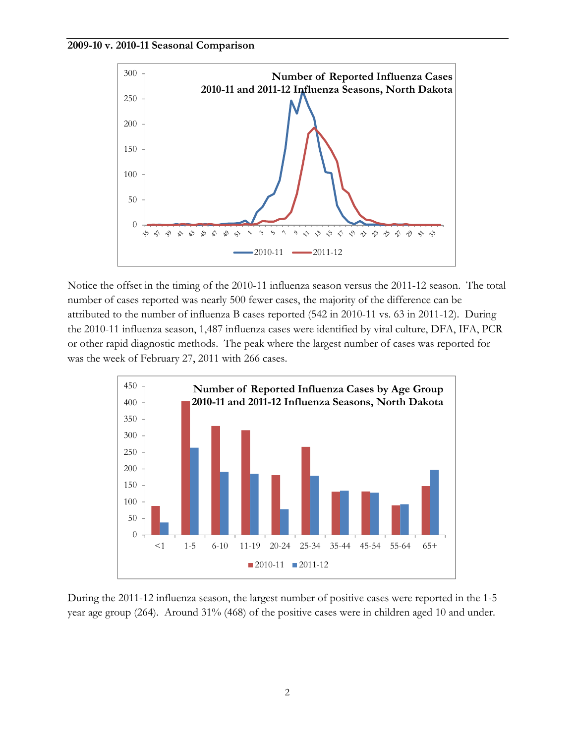



Notice the offset in the timing of the 2010-11 influenza season versus the 2011-12 season. The total number of cases reported was nearly 500 fewer cases, the majority of the difference can be attributed to the number of influenza B cases reported (542 in 2010-11 vs. 63 in 2011-12). During the 2010-11 influenza season, 1,487 influenza cases were identified by viral culture, DFA, IFA, PCR or other rapid diagnostic methods. The peak where the largest number of cases was reported for was the week of February 27, 2011 with 266 cases.



During the 2011-12 influenza season, the largest number of positive cases were reported in the 1-5 year age group (264). Around 31% (468) of the positive cases were in children aged 10 and under.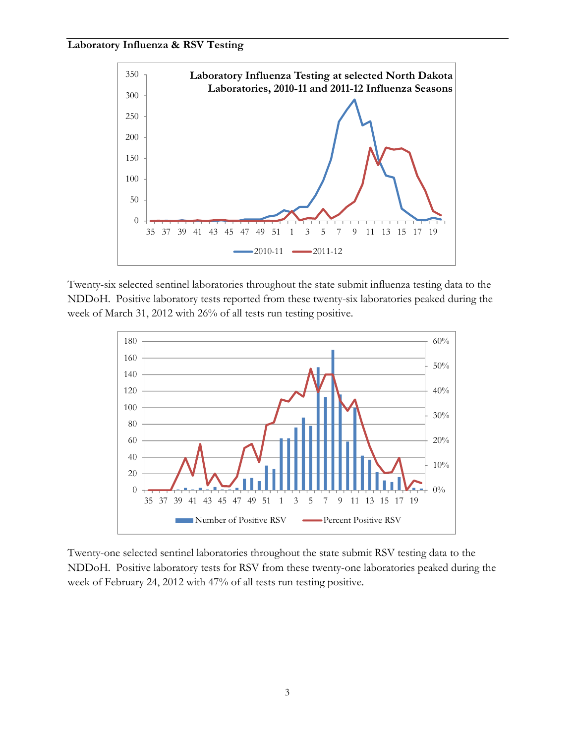## **Laboratory Influenza & RSV Testing**



Twenty-six selected sentinel laboratories throughout the state submit influenza testing data to the NDDoH. Positive laboratory tests reported from these twenty-six laboratories peaked during the week of March 31, 2012 with 26% of all tests run testing positive.



Twenty-one selected sentinel laboratories throughout the state submit RSV testing data to the NDDoH. Positive laboratory tests for RSV from these twenty-one laboratories peaked during the week of February 24, 2012 with 47% of all tests run testing positive.